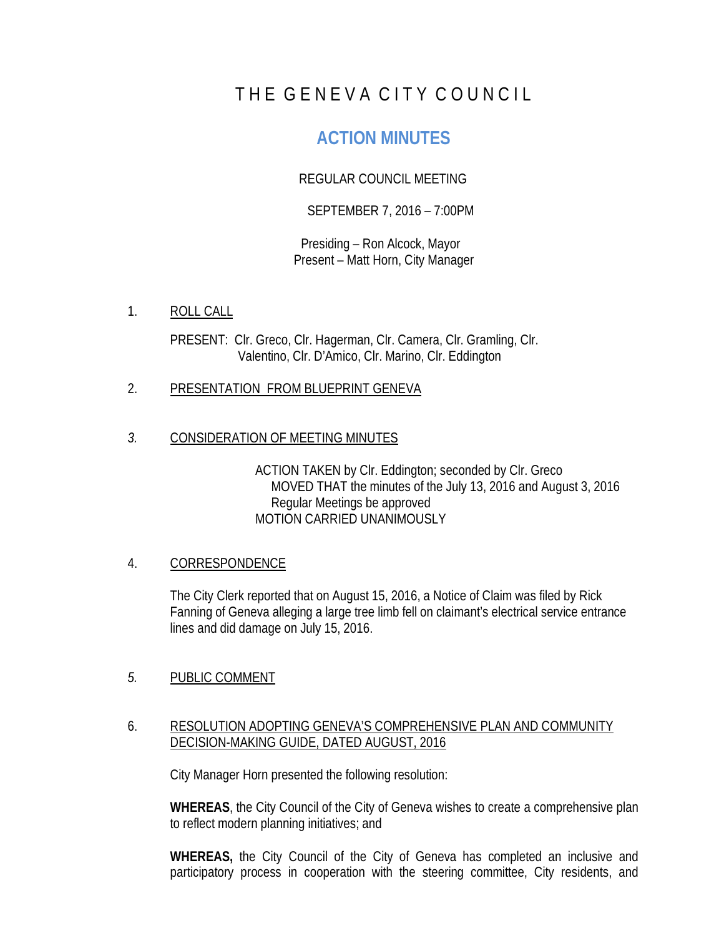# THE GENEVA CITY COUNCIL

# **ACTION MINUTES**

## REGULAR COUNCIL MEETING

## SEPTEMBER 7, 2016 – 7:00PM

Presiding – Ron Alcock, Mayor Present – Matt Horn, City Manager

1. ROLL CALL

PRESENT: Clr. Greco, Clr. Hagerman, Clr. Camera, Clr. Gramling, Clr. Valentino, Clr. D'Amico, Clr. Marino, Clr. Eddington

- 2. PRESENTATION FROM BLUEPRINT GENEVA
- *3.* CONSIDERATION OF MEETING MINUTES

ACTION TAKEN by Clr. Eddington; seconded by Clr. Greco MOVED THAT the minutes of the July 13, 2016 and August 3, 2016 Regular Meetings be approved MOTION CARRIED UNANIMOUSLY

#### 4. CORRESPONDENCE

The City Clerk reported that on August 15, 2016, a Notice of Claim was filed by Rick Fanning of Geneva alleging a large tree limb fell on claimant's electrical service entrance lines and did damage on July 15, 2016.

## *5.* PUBLIC COMMENT

#### 6. RESOLUTION ADOPTING GENEVA'S COMPREHENSIVE PLAN AND COMMUNITY DECISION-MAKING GUIDE, DATED AUGUST, 2016

City Manager Horn presented the following resolution:

**WHEREAS**, the City Council of the City of Geneva wishes to create a comprehensive plan to reflect modern planning initiatives; and

**WHEREAS,** the City Council of the City of Geneva has completed an inclusive and participatory process in cooperation with the steering committee, City residents, and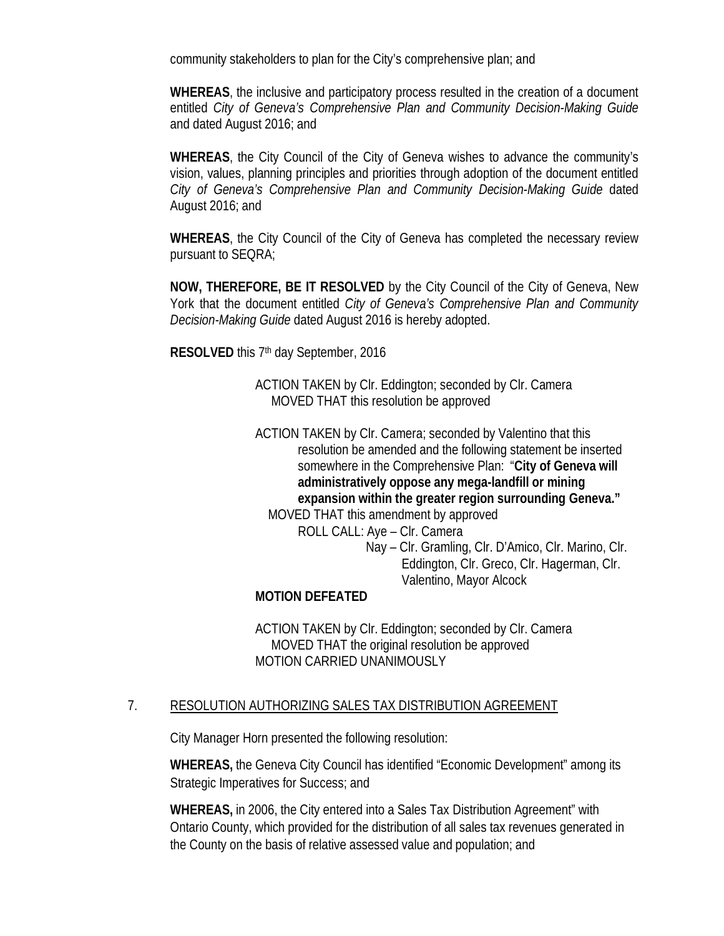community stakeholders to plan for the City's comprehensive plan; and

**WHEREAS**, the inclusive and participatory process resulted in the creation of a document entitled *City of Geneva's Comprehensive Plan and Community Decision-Making Guide* and dated August 2016; and

**WHEREAS**, the City Council of the City of Geneva wishes to advance the community's vision, values, planning principles and priorities through adoption of the document entitled *City of Geneva's Comprehensive Plan and Community Decision-Making Guide* dated August 2016; and

**WHEREAS**, the City Council of the City of Geneva has completed the necessary review pursuant to SEQRA;

**NOW, THEREFORE, BE IT RESOLVED** by the City Council of the City of Geneva, New York that the document entitled *City of Geneva's Comprehensive Plan and Community Decision-Making Guide* dated August 2016 is hereby adopted.

**RESOLVED** this 7th day September, 2016

ACTION TAKEN by Clr. Eddington; seconded by Clr. Camera MOVED THAT this resolution be approved

ACTION TAKEN by Clr. Camera; seconded by Valentino that this resolution be amended and the following statement be inserted somewhere in the Comprehensive Plan: "**City of Geneva will administratively oppose any mega-landfill or mining expansion within the greater region surrounding Geneva."** MOVED THAT this amendment by approved

> ROLL CALL: Aye – Clr. Camera Nay – Clr. Gramling, Clr. D'Amico, Clr. Marino, Clr. Eddington, Clr. Greco, Clr. Hagerman, Clr. Valentino, Mayor Alcock

## **MOTION DEFEATED**

ACTION TAKEN by Clr. Eddington; seconded by Clr. Camera MOVED THAT the original resolution be approved MOTION CARRIED UNANIMOUSLY

## 7. RESOLUTION AUTHORIZING SALES TAX DISTRIBUTION AGREEMENT

City Manager Horn presented the following resolution:

**WHEREAS,** the Geneva City Council has identified "Economic Development" among its Strategic Imperatives for Success; and

**WHEREAS,** in 2006, the City entered into a Sales Tax Distribution Agreement" with Ontario County, which provided for the distribution of all sales tax revenues generated in the County on the basis of relative assessed value and population; and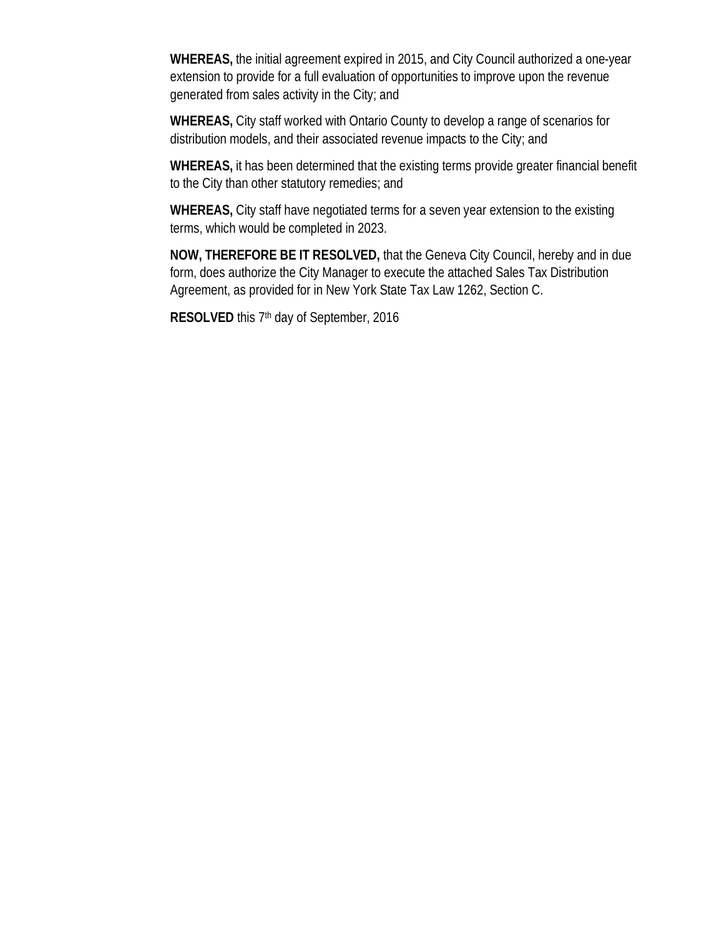**WHEREAS,** the initial agreement expired in 2015, and City Council authorized a one-year extension to provide for a full evaluation of opportunities to improve upon the revenue generated from sales activity in the City; and

**WHEREAS,** City staff worked with Ontario County to develop a range of scenarios for distribution models, and their associated revenue impacts to the City; and

**WHEREAS,** it has been determined that the existing terms provide greater financial benefit to the City than other statutory remedies; and

**WHEREAS,** City staff have negotiated terms for a seven year extension to the existing terms, which would be completed in 2023.

**NOW, THEREFORE BE IT RESOLVED,** that the Geneva City Council, hereby and in due form, does authorize the City Manager to execute the attached Sales Tax Distribution Agreement, as provided for in New York State Tax Law 1262, Section C.

**RESOLVED** this 7<sup>th</sup> day of September, 2016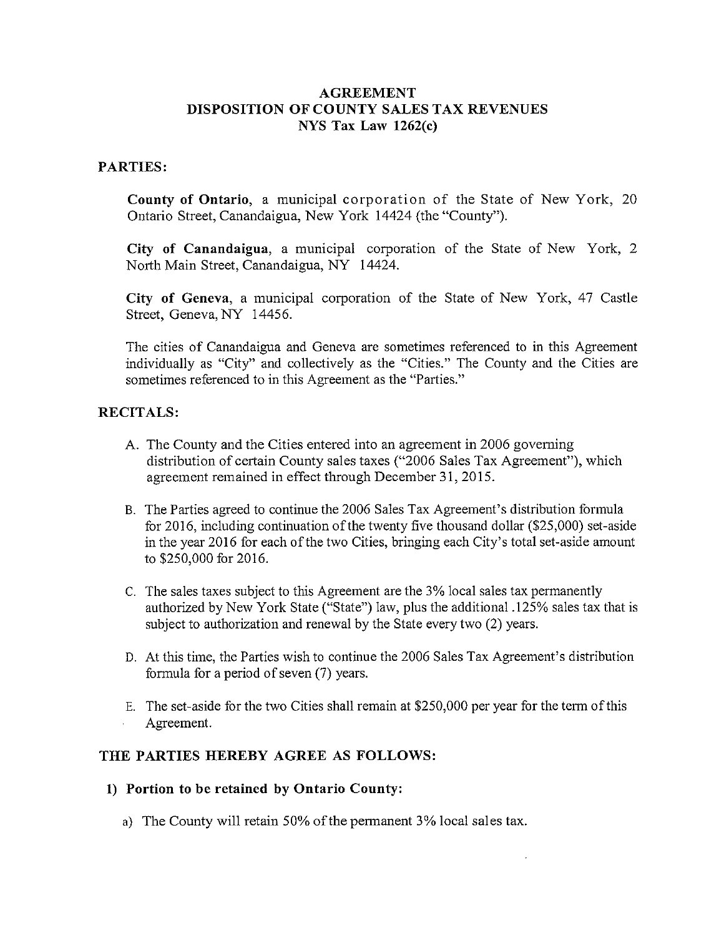#### **AGREEMENT** DISPOSITION OF COUNTY SALES TAX REVENUES NYS Tax Law  $1262(c)$

#### **PARTIES:**

County of Ontario, a municipal corporation of the State of New York, 20 Ontario Street, Canandaigua, New York 14424 (the "County").

City of Canandaigua, a municipal corporation of the State of New York, 2 North Main Street, Canandaigua, NY 14424.

City of Geneva, a municipal corporation of the State of New York, 47 Castle Street, Geneva, NY 14456.

The cities of Canandaigua and Geneva are sometimes referenced to in this Agreement individually as "City" and collectively as the "Cities." The County and the Cities are sometimes referenced to in this Agreement as the "Parties."

#### **RECITALS:**

- A. The County and the Cities entered into an agreement in 2006 governing distribution of certain County sales taxes ("2006 Sales Tax Agreement"), which agreement remained in effect through December 31, 2015.
- B. The Parties agreed to continue the 2006 Sales Tax Agreement's distribution formula for 2016, including continuation of the twenty five thousand dollar (\$25,000) set-aside in the year 2016 for each of the two Cities, bringing each City's total set-aside amount to \$250,000 for 2016.
- C. The sales taxes subject to this Agreement are the 3% local sales tax permanently authorized by New York State ("State") law, plus the additional .125% sales tax that is subject to authorization and renewal by the State every two (2) years.
- D. At this time, the Parties wish to continue the 2006 Sales Tax Agreement's distribution formula for a period of seven (7) years.
- E. The set-aside for the two Cities shall remain at \$250,000 per year for the term of this Agreement.

#### THE PARTIES HEREBY AGREE AS FOLLOWS:

#### 1) Portion to be retained by Ontario County:

a) The County will retain 50% of the permanent 3% local sales tax.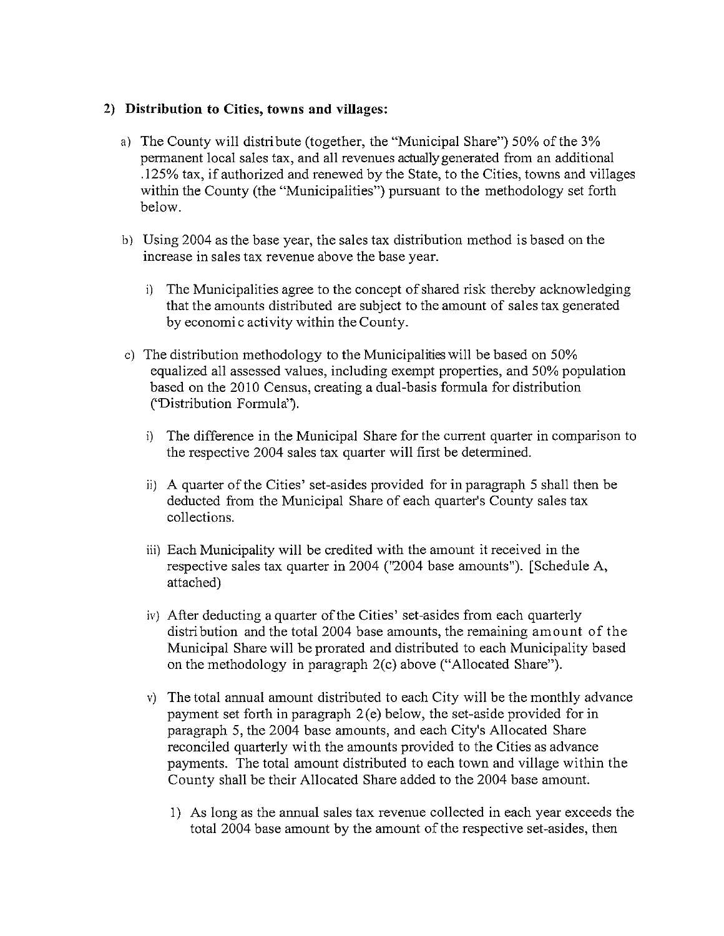#### 2) Distribution to Cities, towns and villages:

- a) The County will distribute (together, the "Municipal Share") 50% of the 3% permanent local sales tax, and all revenues actually generated from an additional .125% tax, if authorized and renewed by the State, to the Cities, towns and villages within the County (the "Municipalities") pursuant to the methodology set forth below.
- b) Using 2004 as the base year, the sales tax distribution method is based on the increase in sales tax revenue above the base year.
	- i) The Municipalities agree to the concept of shared risk thereby acknowledging that the amounts distributed are subject to the amount of sales tax generated by economic activity within the County.
- c) The distribution methodology to the Municipalities will be based on 50% equalized all assessed values, including exempt properties, and 50% population based on the 2010 Census, creating a dual-basis formula for distribution ('Distribution Formula').
	- i) The difference in the Municipal Share for the current quarter in comparison to the respective 2004 sales tax quarter will first be determined.
	- ii) A quarter of the Cities' set-asides provided for in paragraph 5 shall then be deducted from the Municipal Share of each quarter's County sales tax collections.
	- iii) Each Municipality will be credited with the amount it received in the respective sales tax quarter in 2004 ("2004 base amounts"). [Schedule A, attached)
	- iv) After deducting a quarter of the Cities' set-asides from each quarterly distribution and the total 2004 base amounts, the remaining amount of the Municipal Share will be prorated and distributed to each Municipality based on the methodology in paragraph  $2(c)$  above ("Allocated Share").
	- v) The total annual amount distributed to each City will be the monthly advance payment set forth in paragraph  $2(e)$  below, the set-aside provided for in paragraph 5, the 2004 base amounts, and each City's Allocated Share reconciled quarterly with the amounts provided to the Cities as advance payments. The total amount distributed to each town and village within the County shall be their Allocated Share added to the 2004 base amount.
		- 1) As long as the annual sales tax revenue collected in each year exceeds the total 2004 base amount by the amount of the respective set-asides, then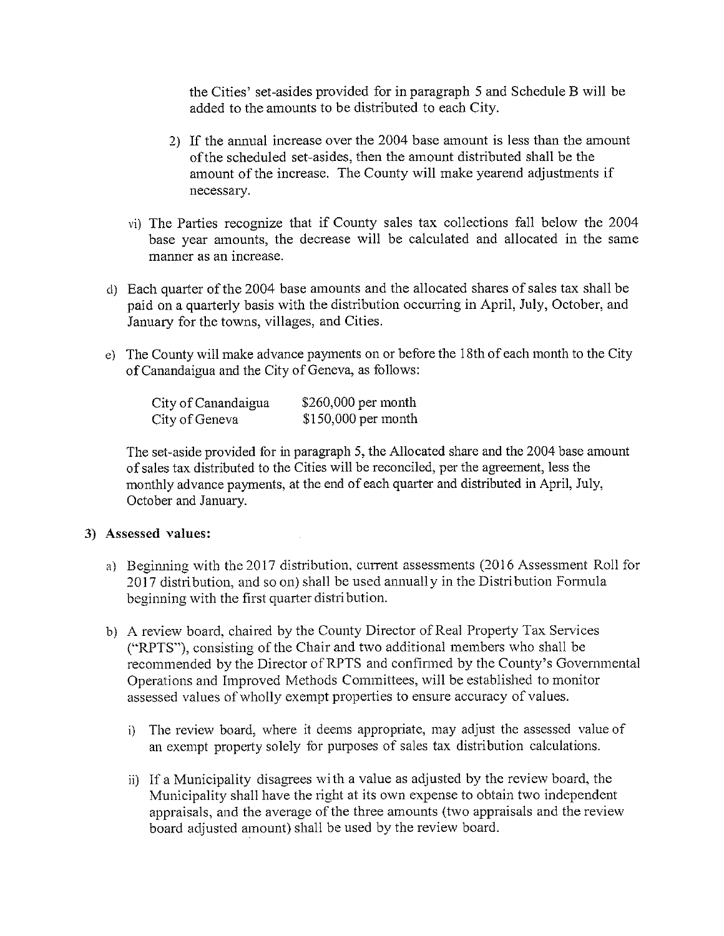the Cities' set-asides provided for in paragraph 5 and Schedule B will be added to the amounts to be distributed to each City.

- 2) If the annual increase over the 2004 base amount is less than the amount of the scheduled set-asides, then the amount distributed shall be the amount of the increase. The County will make yearend adjustments if necessary.
- vi) The Parties recognize that if County sales tax collections fall below the 2004 base year amounts, the decrease will be calculated and allocated in the same manner as an increase.
- d) Each quarter of the 2004 base amounts and the allocated shares of sales tax shall be paid on a quarterly basis with the distribution occurring in April, July, October, and January for the towns, villages, and Cities.
- e) The County will make advance payments on or before the 18th of each month to the City of Canandaigua and the City of Geneva, as follows:

| City of Canandaigua | $$260,000$ per month |
|---------------------|----------------------|
| City of Geneva      | $$150,000$ per month |

The set-aside provided for in paragraph 5, the Allocated share and the 2004 base amount of sales tax distributed to the Cities will be reconciled, per the agreement, less the monthly advance payments, at the end of each quarter and distributed in April, July, October and January.

#### 3) Assessed values:

- a) Beginning with the 2017 distribution, current assessments (2016 Assessment Roll for 2017 distribution, and so on) shall be used annually in the Distribution Formula beginning with the first quarter distribution.
- b) A review board, chaired by the County Director of Real Property Tax Services ("RPTS"), consisting of the Chair and two additional members who shall be recommended by the Director of RPTS and confirmed by the County's Governmental Operations and Improved Methods Committees, will be established to monitor assessed values of wholly exempt properties to ensure accuracy of values.
	- i) The review board, where it deems appropriate, may adjust the assessed value of an exempt property solely for purposes of sales tax distribution calculations.
	- ii) If a Municipality disagrees with a value as adjusted by the review board, the Municipality shall have the right at its own expense to obtain two independent appraisals, and the average of the three amounts (two appraisals and the review board adjusted amount) shall be used by the review board.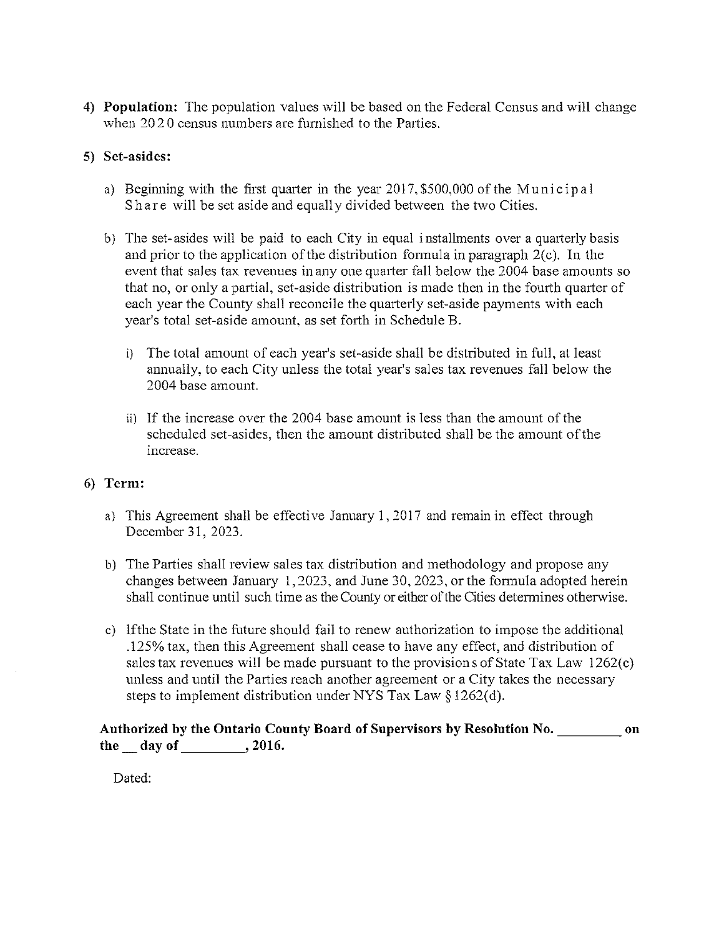4) Population: The population values will be based on the Federal Census and will change when 2020 census numbers are furnished to the Parties.

## 5) Set-asides:

- a) Beginning with the first quarter in the year 2017, \$500,000 of the Municipal Share will be set aside and equally divided between the two Cities.
- b) The set-asides will be paid to each City in equal installments over a quarterly basis and prior to the application of the distribution formula in paragraph  $2(c)$ . In the event that sales tax revenues in any one quarter fall below the 2004 base amounts so that no, or only a partial, set-aside distribution is made then in the fourth quarter of each year the County shall reconcile the quarterly set-aside payments with each year's total set-aside amount, as set forth in Schedule B.
	- i) The total amount of each year's set-aside shall be distributed in full, at least annually, to each City unless the total year's sales tax revenues fall below the 2004 base amount.
	- ii) If the increase over the 2004 base amount is less than the amount of the scheduled set-asides, then the amount distributed shall be the amount of the increase.

## 6) Term:

- a) This Agreement shall be effective January 1, 2017 and remain in effect through December 31, 2023.
- b) The Parties shall review sales tax distribution and methodology and propose any changes between January 1, 2023, and June 30, 2023, or the formula adopted herein shall continue until such time as the County or either of the Cities determines otherwise.
- c) If the State in the future should fail to renew authorization to impose the additional .125% tax, then this Agreement shall cease to have any effect, and distribution of sales tax revenues will be made pursuant to the provisions of State Tax Law 1262(c) unless and until the Parties reach another agreement or a City takes the necessary steps to implement distribution under NYS Tax Law  $\S 1262(d)$ .

Authorized by the Ontario County Board of Supervisors by Resolution No. 60. the  $\_\$  day of  $\_\_\_\_$ , 2016.

Dated: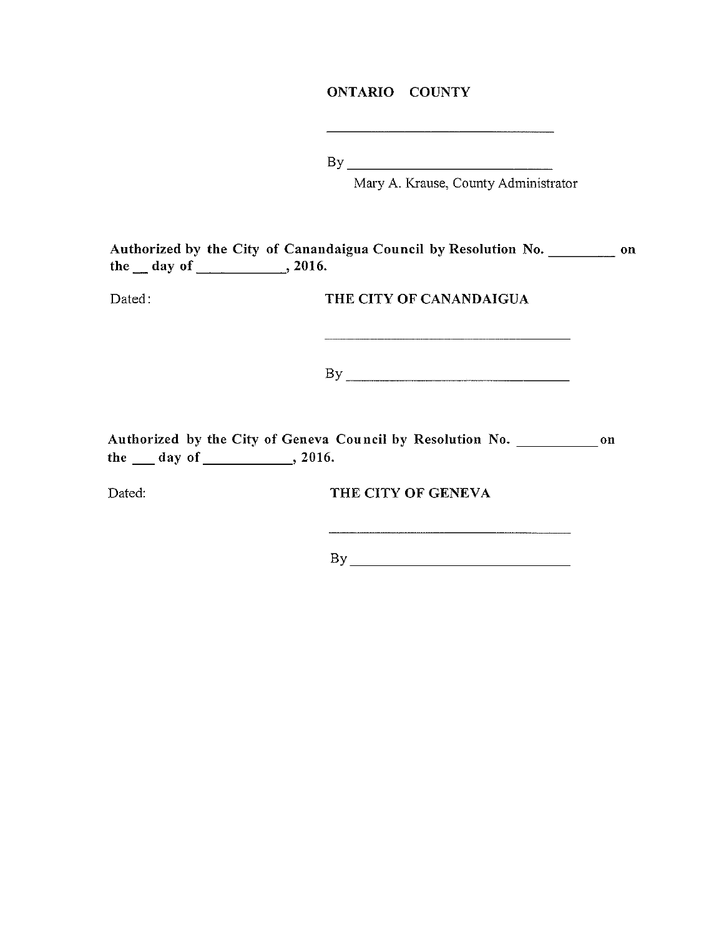### **ONTARIO COUNTY**

 $By$ 

Mary A. Krause, County Administrator

|            |         |  | Authorized by the City of Canandaigua Council by Resolution No. |  | on |
|------------|---------|--|-----------------------------------------------------------------|--|----|
| the day of | , 2016. |  |                                                                 |  |    |
|            |         |  |                                                                 |  |    |

Dated:

THE CITY OF CANANDAIGUA

 $By$ 

the  $\_\_$  day of  $\_\_$ , 2016.

Dated:

THE CITY OF GENEVA

 $By$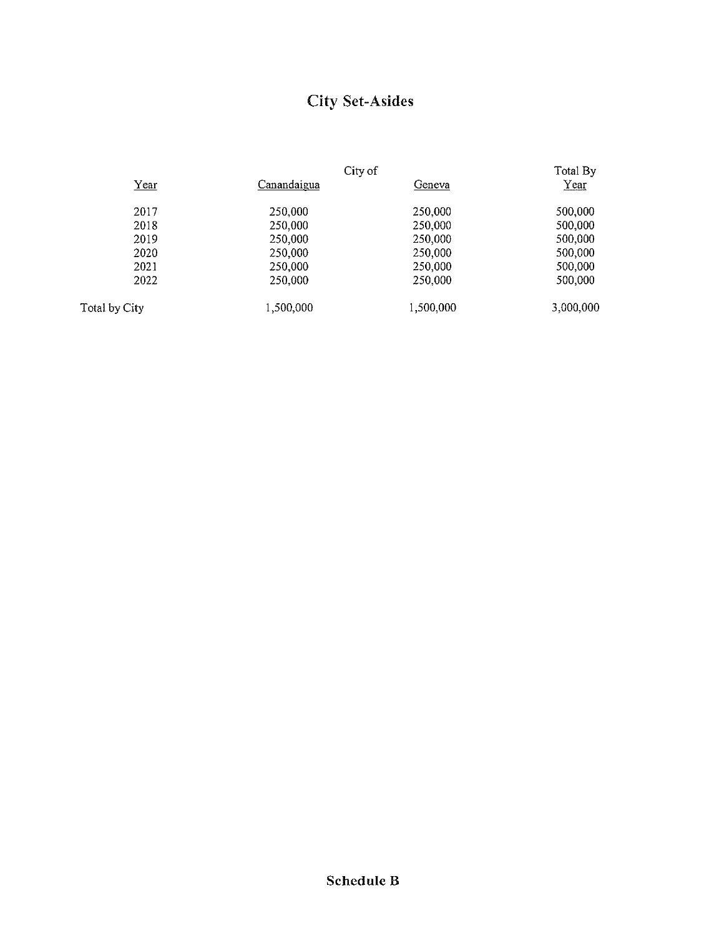# **City Set-Asides**

|               | City of     |           | Total By  |  |
|---------------|-------------|-----------|-----------|--|
| Year          | Canandaigua | Geneva    | $Year$    |  |
| 2017          | 250,000     | 250,000   | 500,000   |  |
| 2018          | 250,000     | 250,000   | 500,000   |  |
| 2019          | 250,000     | 250,000   | 500,000   |  |
| 2020          | 250,000     | 250,000   | 500,000   |  |
| 2021          | 250,000     | 250,000   | 500,000   |  |
| 2022          | 250,000     | 250,000   | 500,000   |  |
| Total by City | 1,500,000   | 1,500,000 | 3,000,000 |  |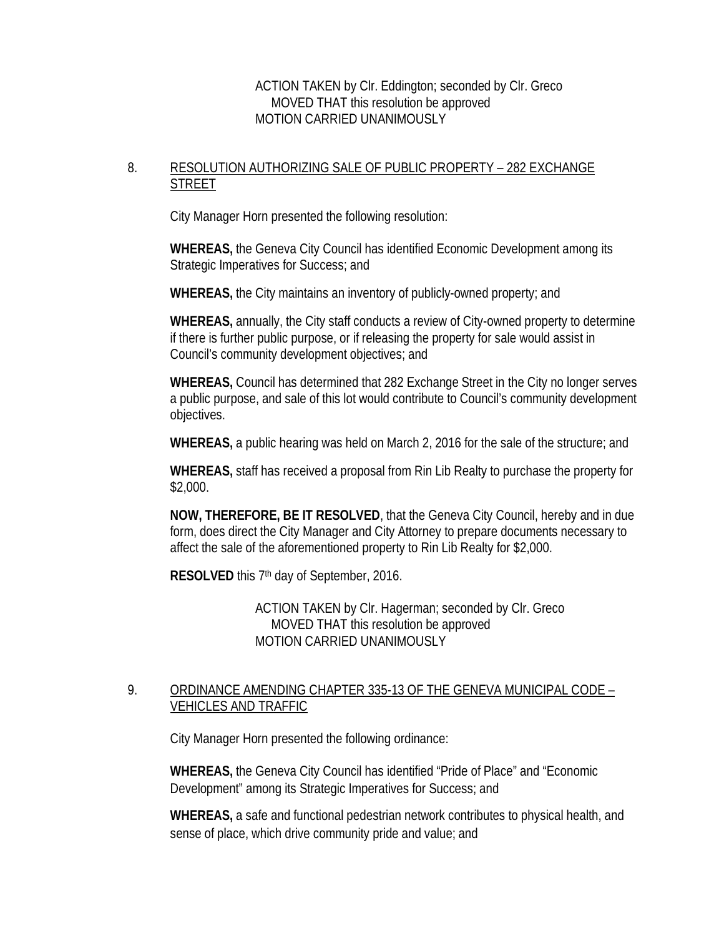ACTION TAKEN by Clr. Eddington; seconded by Clr. Greco MOVED THAT this resolution be approved MOTION CARRIED UNANIMOUSLY

## 8. RESOLUTION AUTHORIZING SALE OF PUBLIC PROPERTY - 282 EXCHANGE **STREET**

City Manager Horn presented the following resolution:

**WHEREAS,** the Geneva City Council has identified Economic Development among its Strategic Imperatives for Success; and

**WHEREAS,** the City maintains an inventory of publicly-owned property; and

**WHEREAS,** annually, the City staff conducts a review of City-owned property to determine if there is further public purpose, or if releasing the property for sale would assist in Council's community development objectives; and

**WHEREAS,** Council has determined that 282 Exchange Street in the City no longer serves a public purpose, and sale of this lot would contribute to Council's community development objectives.

**WHEREAS,** a public hearing was held on March 2, 2016 for the sale of the structure; and

**WHEREAS,** staff has received a proposal from Rin Lib Realty to purchase the property for \$2,000.

**NOW, THEREFORE, BE IT RESOLVED**, that the Geneva City Council, hereby and in due form, does direct the City Manager and City Attorney to prepare documents necessary to affect the sale of the aforementioned property to Rin Lib Realty for \$2,000.

**RESOLVED** this 7<sup>th</sup> day of September, 2016.

ACTION TAKEN by Clr. Hagerman; seconded by Clr. Greco MOVED THAT this resolution be approved MOTION CARRIED UNANIMOUSLY

### 9. ORDINANCE AMENDING CHAPTER 335-13 OF THE GENEVA MUNICIPAL CODE – VEHICLES AND TRAFFIC

City Manager Horn presented the following ordinance:

**WHEREAS,** the Geneva City Council has identified "Pride of Place" and "Economic Development" among its Strategic Imperatives for Success; and

**WHEREAS,** a safe and functional pedestrian network contributes to physical health, and sense of place, which drive community pride and value; and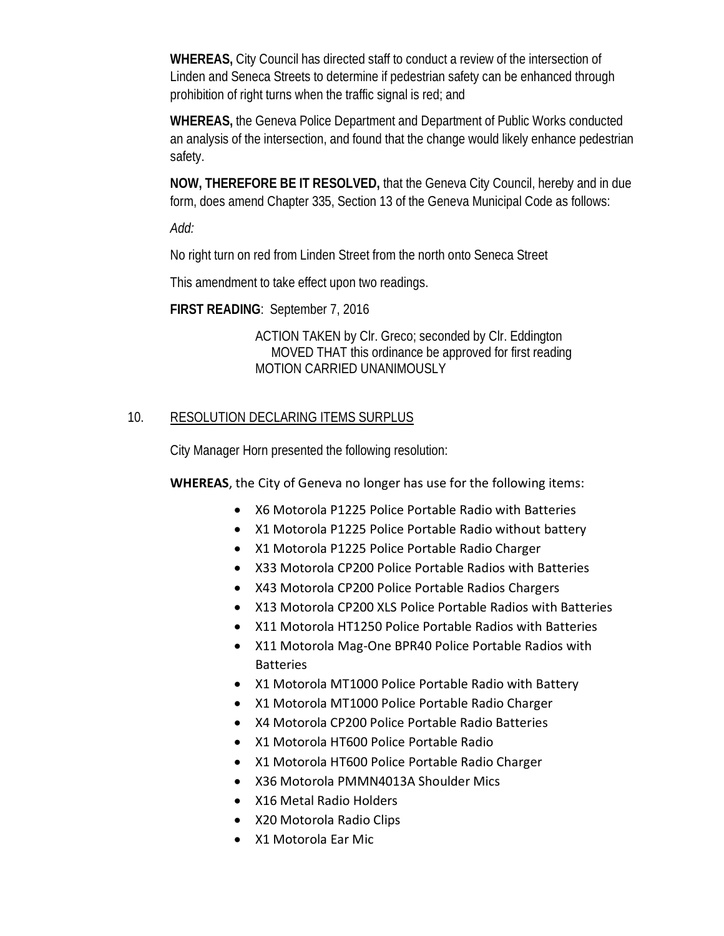**WHEREAS,** City Council has directed staff to conduct a review of the intersection of Linden and Seneca Streets to determine if pedestrian safety can be enhanced through prohibition of right turns when the traffic signal is red; and

**WHEREAS,** the Geneva Police Department and Department of Public Works conducted an analysis of the intersection, and found that the change would likely enhance pedestrian safety.

**NOW, THEREFORE BE IT RESOLVED,** that the Geneva City Council, hereby and in due form, does amend Chapter 335, Section 13 of the Geneva Municipal Code as follows:

*Add:*

No right turn on red from Linden Street from the north onto Seneca Street

This amendment to take effect upon two readings.

**FIRST READING**: September 7, 2016

ACTION TAKEN by Clr. Greco; seconded by Clr. Eddington MOVED THAT this ordinance be approved for first reading MOTION CARRIED UNANIMOUSLY

## 10. RESOLUTION DECLARING ITEMS SURPLUS

City Manager Horn presented the following resolution:

**WHEREAS**, the City of Geneva no longer has use for the following items:

- X6 Motorola P1225 Police Portable Radio with Batteries
- X1 Motorola P1225 Police Portable Radio without battery
- X1 Motorola P1225 Police Portable Radio Charger
- X33 Motorola CP200 Police Portable Radios with Batteries
- X43 Motorola CP200 Police Portable Radios Chargers
- X13 Motorola CP200 XLS Police Portable Radios with Batteries
- X11 Motorola HT1250 Police Portable Radios with Batteries
- X11 Motorola Mag-One BPR40 Police Portable Radios with Batteries
- X1 Motorola MT1000 Police Portable Radio with Battery
- X1 Motorola MT1000 Police Portable Radio Charger
- X4 Motorola CP200 Police Portable Radio Batteries
- X1 Motorola HT600 Police Portable Radio
- X1 Motorola HT600 Police Portable Radio Charger
- X36 Motorola PMMN4013A Shoulder Mics
- X16 Metal Radio Holders
- X20 Motorola Radio Clips
- X1 Motorola Ear Mic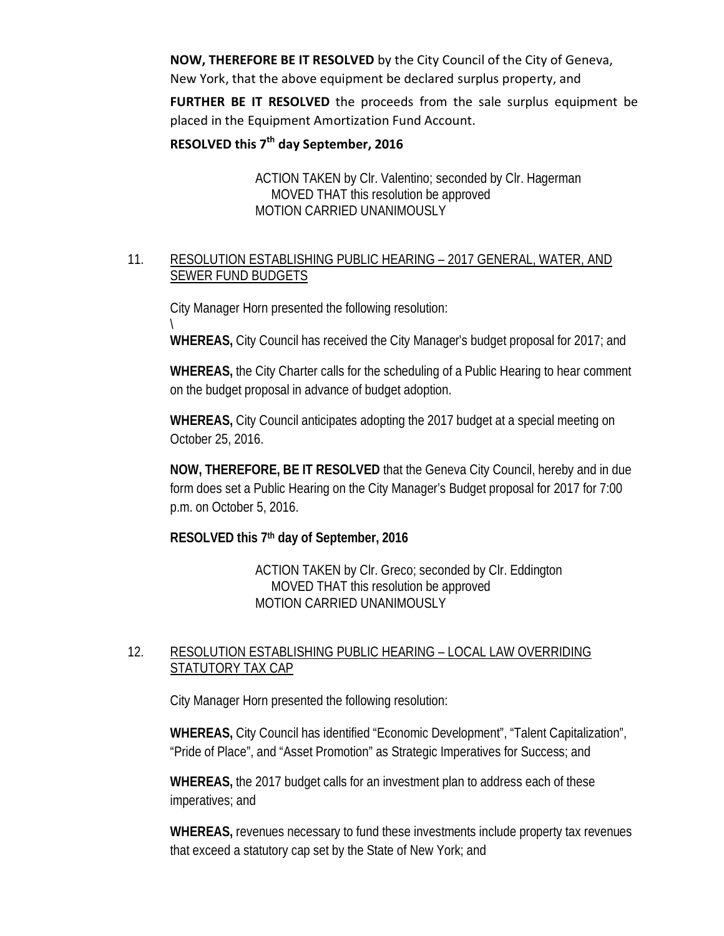**NOW, THEREFORE BE IT RESOLVED** by the City Council of the City of Geneva, New York, that the above equipment be declared surplus property, and

**FURTHER BE IT RESOLVED** the proceeds from the sale surplus equipment be placed in the Equipment Amortization Fund Account.

### **RESOLVED this 7th day September, 2016**

ACTION TAKEN by Clr. Valentino; seconded by Clr. Hagerman MOVED THAT this resolution be approved MOTION CARRIED UNANIMOUSLY

## 11. RESOLUTION ESTABLISHING PUBLIC HEARING – 2017 GENERAL, WATER, AND SEWER FUND BUDGETS

City Manager Horn presented the following resolution:

\ **WHEREAS,** City Council has received the City Manager's budget proposal for 2017; and

**WHEREAS,** the City Charter calls for the scheduling of a Public Hearing to hear comment on the budget proposal in advance of budget adoption.

**WHEREAS,** City Council anticipates adopting the 2017 budget at a special meeting on October 25, 2016.

**NOW, THEREFORE, BE IT RESOLVED** that the Geneva City Council, hereby and in due form does set a Public Hearing on the City Manager's Budget proposal for 2017 for 7:00 p.m. on October 5, 2016.

## **RESOLVED this 7th day of September, 2016**

ACTION TAKEN by Clr. Greco; seconded by Clr. Eddington MOVED THAT this resolution be approved MOTION CARRIED UNANIMOUSLY

## 12. RESOLUTION ESTABLISHING PUBLIC HEARING – LOCAL LAW OVERRIDING STATUTORY TAX CAP

City Manager Horn presented the following resolution:

**WHEREAS,** City Council has identified "Economic Development", "Talent Capitalization", "Pride of Place", and "Asset Promotion" as Strategic Imperatives for Success; and

**WHEREAS,** the 2017 budget calls for an investment plan to address each of these imperatives; and

**WHEREAS,** revenues necessary to fund these investments include property tax revenues that exceed a statutory cap set by the State of New York; and